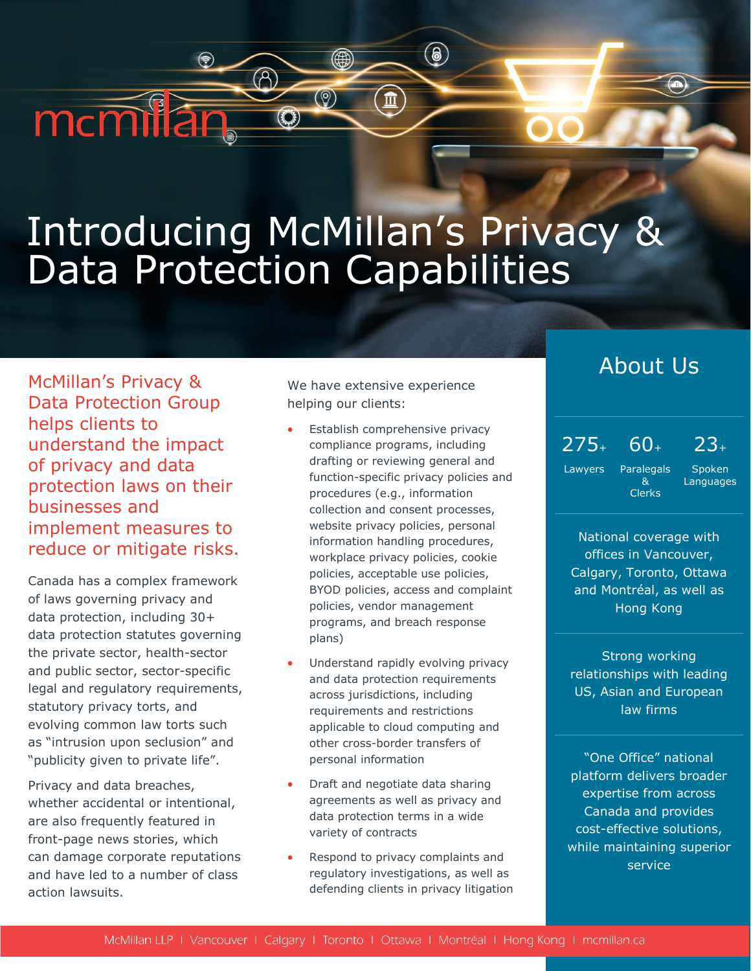# Introducing McMillan's Privacy & Data Protection Capabilities

(∰

 $\circledcirc$ 

 $\odot$ 

McMillan's Privacy & Data Protection Group helps clients to understand the impact of privacy and data protection laws on their businesses and implement measures to reduce or mitigate risks.

mcmilan

Canada has a complex framework of laws governing privacy and data protection, including 30+ data protection statutes governing the private sector, health-sector and public sector, sector-specific legal and regulatory requirements, statutory privacy torts, and evolving common law torts such as "intrusion upon seclusion" and "publicity given to private life".

Privacy and data breaches, whether accidental or intentional, are also frequently featured in front-page news stories, which can damage corporate reputations and have led to a number of class action lawsuits.

We have extensive experience helping our clients:

 $\circledast$ 

 $\mathbf{\hat{m}}$ 

- Establish comprehensive privacy compliance programs, including drafting or reviewing general and function-specific privacy policies and procedures (e.g., information collection and consent processes, website privacy policies, personal information handling procedures, workplace privacy policies, cookie policies, acceptable use policies, BYOD policies, access and complaint policies, vendor management programs, and breach response plans)
- Understand rapidly evolving privacy and data protection requirements across jurisdictions, including requirements and restrictions applicable to cloud computing and other cross-border transfers of personal information
- Draft and negotiate data sharing agreements as well as privacy and data protection terms in a wide variety of contracts
- Respond to privacy complaints and regulatory investigations, as well as defending clients in privacy litigation

# About Us

 $275<sub>+</sub> 60<sub>+</sub> 23<sub>+</sub>$ 

Lawyers Paralegals & Clerks

Spoken Languages

National coverage with offices in Vancouver, Calgary, Toronto, Ottawa and Montréal, as well as Hong Kong

Strong working relationships with leading US, Asian and European law firms

"One Office" national platform delivers broader expertise from across Canada and provides cost-effective solutions, while maintaining superior service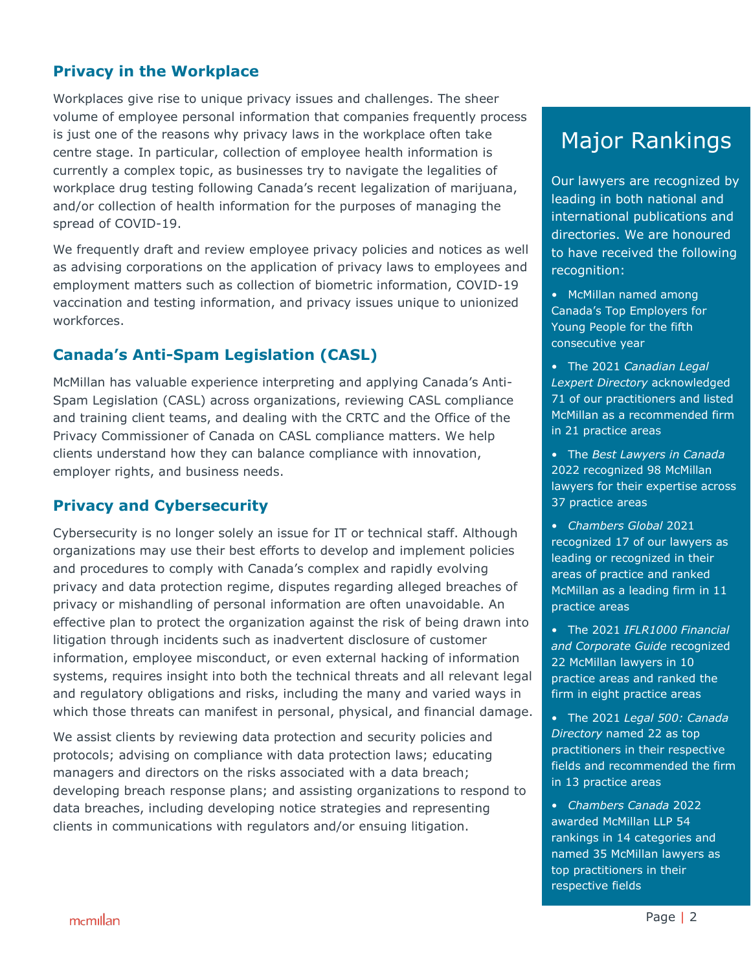#### **Privacy in the Workplace**

Workplaces give rise to unique privacy issues and challenges. The sheer volume of employee personal information that companies frequently process is just one of the reasons why privacy laws in the workplace often take centre stage. In particular, collection of employee health information is currently a complex topic, as businesses try to navigate the legalities of workplace drug testing following Canada's recent legalization of marijuana, and/or collection of health information for the purposes of managing the spread of COVID-19.

We frequently draft and review employee privacy policies and notices as well as advising corporations on the application of privacy laws to employees and employment matters such as collection of biometric information, COVID-19 vaccination and testing information, and privacy issues unique to unionized workforces.

#### **Canada's Anti-Spam Legislation (CASL)**

McMillan has valuable experience interpreting and applying Canada's Anti-Spam Legislation (CASL) across organizations, reviewing CASL compliance and training client teams, and dealing with the CRTC and the Office of the Privacy Commissioner of Canada on CASL compliance matters. We help clients understand how they can balance compliance with innovation, employer rights, and business needs.

#### **Privacy and Cybersecurity**

Cybersecurity is no longer solely an issue for IT or technical staff. Although organizations may use their best efforts to develop and implement policies and procedures to comply with Canada's complex and rapidly evolving privacy and data protection regime, disputes regarding alleged breaches of privacy or mishandling of personal information are often unavoidable. An effective plan to protect the organization against the risk of being drawn into litigation through incidents such as inadvertent disclosure of customer information, employee misconduct, or even external hacking of information systems, requires insight into both the technical threats and all relevant legal and regulatory obligations and risks, including the many and varied ways in which those threats can manifest in personal, physical, and financial damage.

We assist clients by reviewing data protection and security policies and protocols; advising on compliance with data protection laws; educating managers and directors on the risks associated with a data breach; developing breach response plans; and assisting organizations to respond to data breaches, including developing notice strategies and representing clients in communications with regulators and/or ensuing litigation.

# Major Rankings

Our lawyers are recognized by leading in both national and international publications and directories. We are honoured to have received the following recognition:

- McMillan named among Canada's Top Employers for Young People for the fifth consecutive year
- The 2021 *Canadian Legal Lexpert Directory* acknowledged 71 of our practitioners and listed McMillan as a recommended firm in 21 practice areas
- The *Best Lawyers in Canada* 2022 recognized 98 McMillan lawyers for their expertise across 37 practice areas
- *Chambers Global* 2021 recognized 17 of our lawyers as leading or recognized in their areas of practice and ranked McMillan as a leading firm in 11 practice areas
- The 2021 *IFLR1000 Financial and Corporate Guide* recognized 22 McMillan lawyers in 10 practice areas and ranked the firm in eight practice areas
- The 2021 *Legal 500: Canada Directory* named 22 as top practitioners in their respective fields and recommended the firm in 13 practice areas
- *Chambers Canada* 2022 awarded McMillan LLP 54 rankings in 14 categories and named 35 McMillan lawyers as top practitioners in their respective fields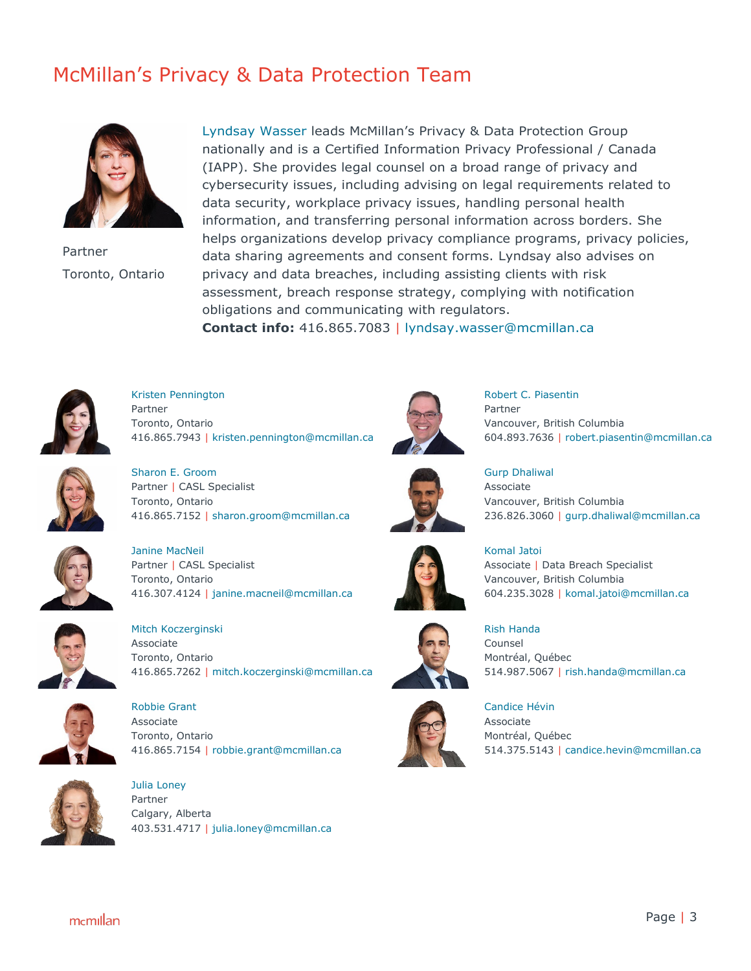# McMillan's Privacy & Data Protection Team



Partner Toronto, Ontario

[Lyndsay Wasser](https://mcmillan.ca/people/lyndsay-wasser/) leads McMillan's Privacy & Data Protection Group nationally and is a Certified Information Privacy Professional / Canada (IAPP). She provides legal counsel on a broad range of privacy and cybersecurity issues, including advising on legal requirements related to data security, workplace privacy issues, handling personal health information, and transferring personal information across borders. She helps organizations develop privacy compliance programs, privacy policies, data sharing agreements and consent forms. Lyndsay also advises on privacy and data breaches, including assisting clients with risk assessment, breach response strategy, complying with notification obligations and communicating with regulators.

**Contact info:** 416.865.7083 | [lyndsay.wasser@mcmillan.ca](mailto:lyndsay.wasser@mcmillan.ca)



[Kristen Pennington](https://mcmillan.ca/people/kristen-pennington/) Partner Toronto, Ontario 416.865.7943 | [kristen.pennington@mcmillan.ca](mailto:kristen.pennington@mcmillan.ca)



[Robert C. Piasentin](https://mcmillan.ca/people/robert-piasentin/) Partner Vancouver, British Columbia 604.893.7636 | [robert.piasentin@mcmillan.ca](mailto:robert.piasentin@mcmillan.ca)



[Sharon E. Groom](https://mcmillan.ca/people/sharon-groom/) Partner | CASL Specialist Toronto, Ontario 416.865.7152 | [sharon.groom@mcmillan.ca](mailto:sharon.groom@mcmillan.ca)



[Gurp Dhaliwal](https://mcmillan.ca/people/gurp-dhaliwal/) Associate Vancouver, British Columbia 236.826.3060 | [gurp.dhaliwal@mcmillan.ca](mailto:gurp.dhaliwal@mcmillan.ca)



[Janine MacNeil](https://mcmillan.ca/people/janine-macneil/) Partner | CASL Specialist Toronto, Ontario 416.307.4124 | [janine.macneil@mcmillan.ca](mailto:janine.macneil@mcmillan.ca)



Mitch [Koczerginski](https://mcmillan.ca/people/mitchell-koczerginski/) Associate Toronto, Ontario 416.865.7262 | [mitch.koczerginski@mcmillan.ca](mailto:mitch.koczerginski@mcmillan.ca)



Robbie Grant Associate Toronto, Ontario 416.865.7154 | [robbie.grant@mcmillan.ca](mailto:robbie.grant@mcmillan.ca)



[Julia Loney](https://mcmillan.ca/people/julia-loney/) Partner Calgary, Alberta 403.531.4717 | [julia.loney@mcmillan.ca](mailto:julia.loney@mcmillan.ca)



[Komal Jatoi](https://mcmillan.ca/people/komal-jatoi/) Associate | Data Breach Specialist Vancouver, British Columbia 604.235.3028 | [komal.jatoi@mcmillan.ca](mailto:komal.jatoi@mcmillan.ca)



[Rish Handa](https://mcmillan.ca/people/rish-handa/) Counsel [Montréal,](https://mcmillan.ca/our-offices/montreal/) Québec 514.987.5067 | [rish.handa@mcmillan.ca](mailto:rish.handa@mcmillan.ca)



[Candice Hévin](https://mcmillan.ca/people/candice-hevin/) Associate [Montréal,](https://mcmillan.ca/our-offices/montreal/) Québec 514.375.5143 | [candice.hevin@mcmillan.ca](mailto:candice.hevin@mcmillan.ca)